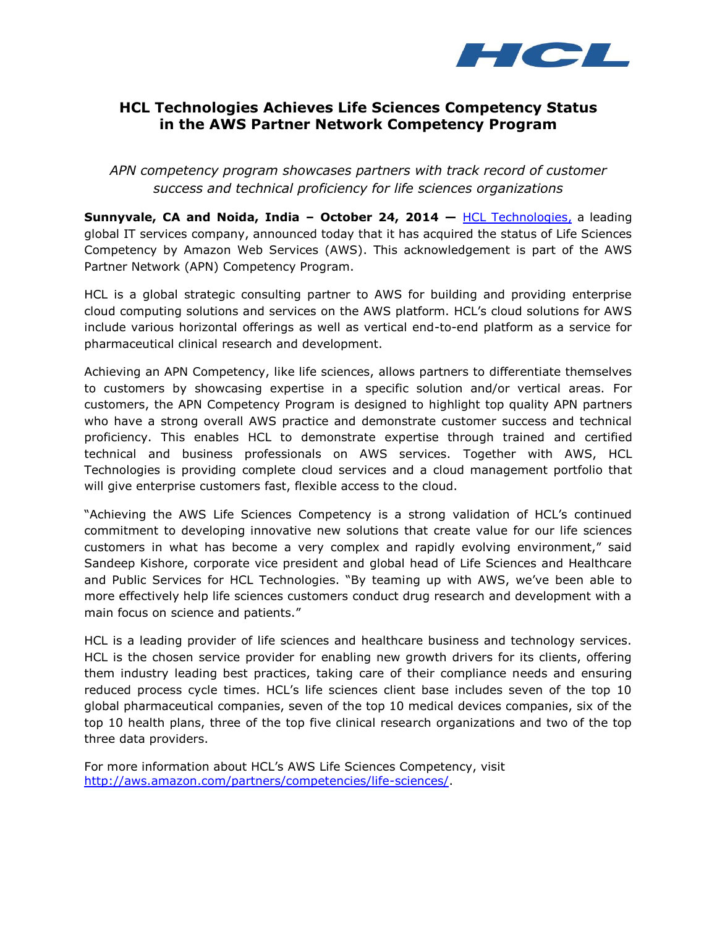

## **HCL Technologies Achieves Life Sciences Competency Status in the AWS Partner Network Competency Program**

*APN competency program showcases partners with track record of customer success and technical proficiency for life sciences organizations*

**Sunnyvale, CA and Noida, India – October 24, 2014 —** [HCL Technologies,](http://www.hcltech.com/) a leading global IT services company, announced today that it has acquired the status of Life Sciences Competency by Amazon Web Services (AWS). This acknowledgement is part of the AWS Partner Network (APN) Competency Program.

HCL is a global strategic consulting partner to AWS for building and providing enterprise cloud computing solutions and services on the AWS platform. HCL's cloud solutions for AWS include various horizontal offerings as well as vertical end-to-end platform as a service for pharmaceutical clinical research and development.

Achieving an APN Competency, like life sciences, allows partners to differentiate themselves to customers by showcasing expertise in a specific solution and/or vertical areas. For customers, the APN Competency Program is designed to highlight top quality APN partners who have a strong overall AWS practice and demonstrate customer success and technical proficiency. This enables HCL to demonstrate expertise through trained and certified technical and business professionals on AWS services. Together with AWS, HCL Technologies is providing complete cloud services and a cloud management portfolio that will give enterprise customers fast, flexible access to the cloud.

"Achieving the AWS Life Sciences Competency is a strong validation of HCL's continued commitment to developing innovative new solutions that create value for our life sciences customers in what has become a very complex and rapidly evolving environment," said Sandeep Kishore, corporate vice president and global head of Life Sciences and Healthcare and Public Services for HCL Technologies. "By teaming up with AWS, we've been able to more effectively help life sciences customers conduct drug research and development with a main focus on science and patients."

HCL is a leading provider of life sciences and healthcare business and technology services. HCL is the chosen service provider for enabling new growth drivers for its clients, offering them industry leading best practices, taking care of their compliance needs and ensuring reduced process cycle times. HCL's life sciences client base includes seven of the top 10 global pharmaceutical companies, seven of the top 10 medical devices companies, six of the top 10 health plans, three of the top five clinical research organizations and two of the top three data providers.

For more information about HCL's AWS Life Sciences Competency, visit [http://aws.amazon.com/partners/competencies/life-sciences/.](http://aws.amazon.com/partners/competencies/life-sciences/)